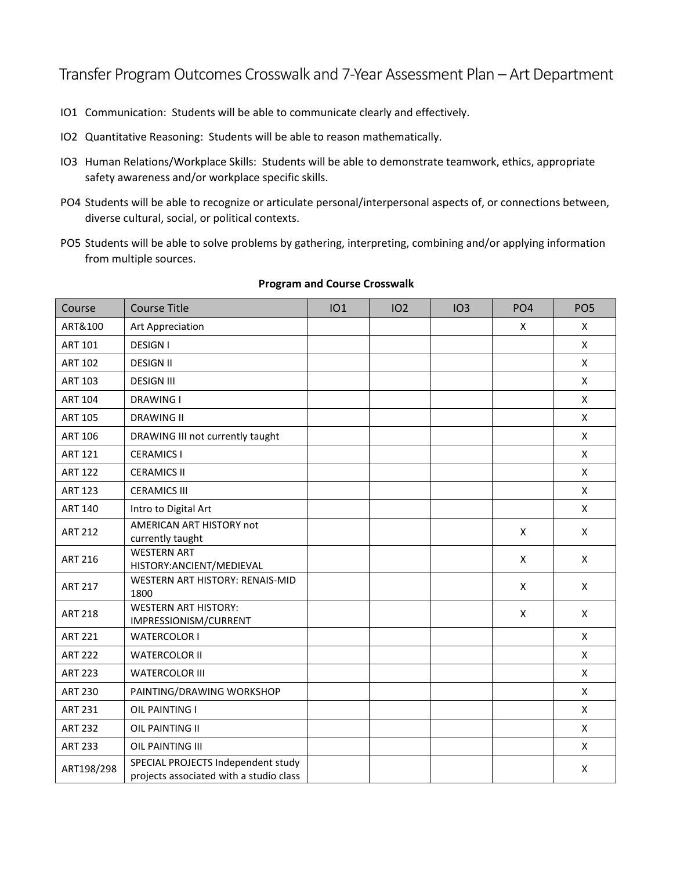Transfer Program Outcomes Crosswalk and 7-Year Assessment Plan – Art Department

- IO1 Communication: Students will be able to communicate clearly and effectively.
- IO2 Quantitative Reasoning: Students will be able to reason mathematically.
- IO3 Human Relations/Workplace Skills: Students will be able to demonstrate teamwork, ethics, appropriate safety awareness and/or workplace specific skills.
- PO4 Students will be able to recognize or articulate personal/interpersonal aspects of, or connections between, diverse cultural, social, or political contexts.
- PO5 Students will be able to solve problems by gathering, interpreting, combining and/or applying information from multiple sources.

| Course         | <b>Course Title</b>                                                           | IO1 | IO <sub>2</sub> | IO3 | PO <sub>4</sub> | PO <sub>5</sub>    |
|----------------|-------------------------------------------------------------------------------|-----|-----------------|-----|-----------------|--------------------|
| ART&100        | Art Appreciation                                                              |     |                 |     | X               | X                  |
| <b>ART 101</b> | <b>DESIGN I</b>                                                               |     |                 |     |                 | X                  |
| <b>ART 102</b> | <b>DESIGN II</b>                                                              |     |                 |     |                 | X                  |
| <b>ART 103</b> | <b>DESIGN III</b>                                                             |     |                 |     |                 | $\pmb{\mathsf{X}}$ |
| <b>ART 104</b> | <b>DRAWING I</b>                                                              |     |                 |     |                 | X                  |
| <b>ART 105</b> | <b>DRAWING II</b>                                                             |     |                 |     |                 | X                  |
| <b>ART 106</b> | DRAWING III not currently taught                                              |     |                 |     |                 | X                  |
| <b>ART 121</b> | <b>CERAMICS I</b>                                                             |     |                 |     |                 | X                  |
| <b>ART 122</b> | <b>CERAMICS II</b>                                                            |     |                 |     |                 | X                  |
| <b>ART 123</b> | <b>CERAMICS III</b>                                                           |     |                 |     |                 | X                  |
| <b>ART 140</b> | Intro to Digital Art                                                          |     |                 |     |                 | X                  |
| <b>ART 212</b> | AMERICAN ART HISTORY not<br>currently taught                                  |     |                 |     | X               | X                  |
| <b>ART 216</b> | <b>WESTERN ART</b><br>HISTORY: ANCIENT/MEDIEVAL                               |     |                 |     | X               | X                  |
| <b>ART 217</b> | WESTERN ART HISTORY: RENAIS-MID<br>1800                                       |     |                 |     | X               | X                  |
| <b>ART 218</b> | <b>WESTERN ART HISTORY:</b><br>IMPRESSIONISM/CURRENT                          |     |                 |     | X               | X                  |
| <b>ART 221</b> | <b>WATERCOLOR I</b>                                                           |     |                 |     |                 | X                  |
| <b>ART 222</b> | <b>WATERCOLOR II</b>                                                          |     |                 |     |                 | X                  |
| <b>ART 223</b> | <b>WATERCOLOR III</b>                                                         |     |                 |     |                 | X                  |
| <b>ART 230</b> | PAINTING/DRAWING WORKSHOP                                                     |     |                 |     |                 | X                  |
| <b>ART 231</b> | OIL PAINTING I                                                                |     |                 |     |                 | X                  |
| <b>ART 232</b> | OIL PAINTING II                                                               |     |                 |     |                 | X                  |
| <b>ART 233</b> | OIL PAINTING III                                                              |     |                 |     |                 | X                  |
| ART198/298     | SPECIAL PROJECTS Independent study<br>projects associated with a studio class |     |                 |     |                 | X                  |

## **Program and Course Crosswalk**